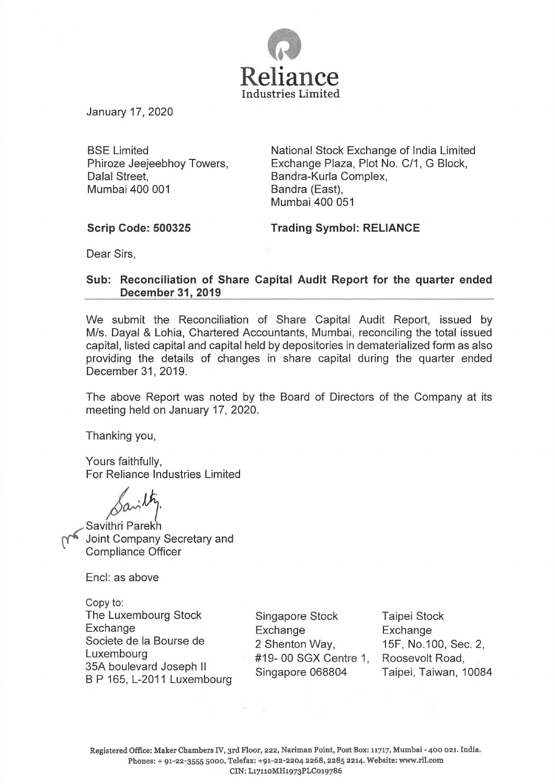

January 17, 2020

BSE Limited Phiroze Jeejeebhoy Towers, Dalal Street, Mumbai 400 001

National Stock Exchange of India Limited Exchange Plaza, Plot No. C/1, G Block, Bandra-Kurla Complex, Bandra (East), Mumbai 400 051

## **Scrip Code: 500325**

**Trading Symbol: RELIANCE** 

Dear Sirs,

## **Sub: Reconciliation of Share Capital Audit Report for the quarter ended December 31, 2019**

We submit the Reconciliation of Share Capital Audit Report, issued by M/s. Dayal & Lohia, Chartered Accountants, Mumbai, reconciling the total issued capital, listed capital and capital held by depositories in dematerialized form as also providing the details of changes in share capital during the quarter ended December 31, 2019.

The above Report was noted by the Board of Directors of the Company at its meeting held on January '17, 2020.

Thanking you,

Yours faithfully, For Reliance Industries Limited

 $\beta^{\alpha...}$ 

Savithri Parekh<br>Joint Company Secretary and Compliance Officer

Encl: as above

Copy to: The Luxembourg Stock Exchange Societe de Ia Bourse de Luxembourg 35A boulevard Joseph II B P 165, L-2011 Luxembourg

Singapore Stock Exchange 2 Shenton Way, #19- 00 SGX Centre 1, Singapore 068804

Taipei Stock Exchange 15F, No.100, Sec. 2, Roosevelt Road, Taipei, Taiwan, 10084

Registered Office: Maker Chambers IV, 3rd Floor, 222, Nariman Point, Post Box: 11717, Mumbai- 400 021. India. Phones:+ 91-22-3555 5000. Telefax: +91-22-2204 2268,2285 2214. Website: www.ril.com CIN: L17110MH1973PLC019786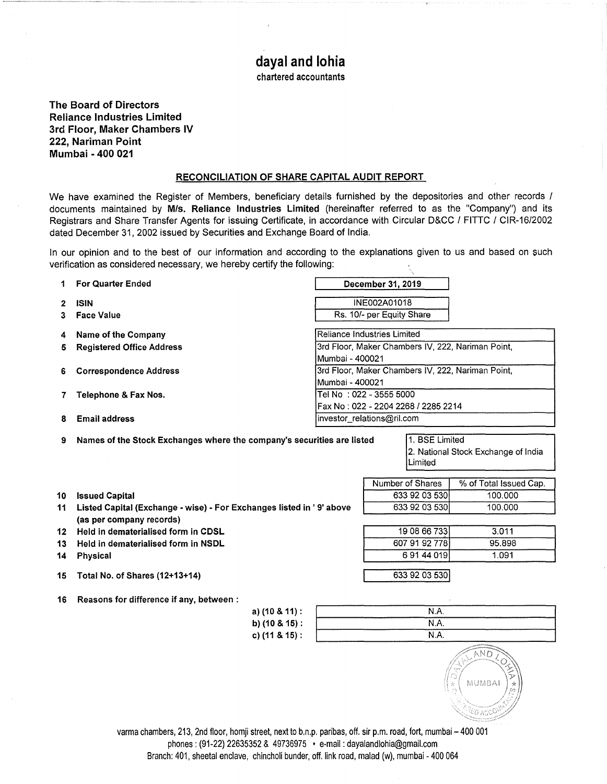# **dayal and lohia**

chartered accountants

The Board of Directors Reliance Industries Limited 3rd Floor, Maker Chambers IV 222, Nariman Point Mumbai - 400 021

### RECONCILIATION OF SHARE CAPITAL AUDIT REPORT

We have examined the Register of Members, beneficiary details furnished by the depositories and other records / documents maintained by M/s. Reliance Industries Limited (hereinafter referred to as the "Company") and its Registrars and Share Transfer Agents for issuing Certificate, in accordance with Circular D&CC / FITTC / CIR-16/2002 dated December 31, 2002 issued by Securities and Exchange Board of India.

In our opinion and to the best of our information and according to the explanations given to us and based on such verification as considered necessary, we hereby certify the following:

|    | <b>For Quarter Ended</b>         | December 31, 2019                                 |  |  |  |
|----|----------------------------------|---------------------------------------------------|--|--|--|
|    | <b>ISIN</b>                      | <b>INE002A01018</b>                               |  |  |  |
|    | <b>Face Value</b>                | Rs. 10/- per Equity Share                         |  |  |  |
| 4  | Name of the Company              | Reliance Industries Limited                       |  |  |  |
| 5  | <b>Registered Office Address</b> | 3rd Floor, Maker Chambers IV, 222, Nariman Point, |  |  |  |
|    |                                  | IMumbai - 400021                                  |  |  |  |
| 6. | <b>Correspondence Address</b>    | 3rd Floor, Maker Chambers IV, 222, Nariman Point, |  |  |  |
|    |                                  | lMumbai - 400021                                  |  |  |  |
|    | Telephone & Fax Nos.             | Tel No :022 - 3555 5000                           |  |  |  |
|    |                                  | Fax No: 022 - 2204 2268 / 2285 2214               |  |  |  |
| 8  | <b>Email address</b>             | Investor_relations@ril.com                        |  |  |  |

9 Names of the Stock Exchanges where the company's securities are listed 1. BSE Limited

2. National Stock Exchange of India Limited

Number of Shares \ % of Total Issued Cap. 633 92 03 530 100.000 633 92 03 530 100.000

> 19 08 66 733 3.011 607 91 92 778 95.898 6 91 44 019 1.091

| 10 Issued Capital                                                       |
|-------------------------------------------------------------------------|
| 11 Listed Capital (Exchange - wise) - For Exchanges listed in '9' above |
| (as per company records)                                                |

- 12 Held in dematerialised form in CDSL
- 13 Held in dematerialised form in NSDL
- 14 Physical
- 15 Total No. of Shares (12+13+14)

|  | 16 Reasons for difference if any, between : |  |  |
|--|---------------------------------------------|--|--|

| a) $(10 \& 11)$ :    | N.A. |  |
|----------------------|------|--|
| b) $(10 \& 15)$ :    | N.A. |  |
| c) $(11 & 8 & 15)$ : | N.A. |  |

633 92 o3 53o 1



varma chambers, 213, 2nd floor, homji street, next to b.n.p. paribas, off. sir p.m. road, fort, mumbai- 400 001 phones: (91-22) 22635352 & 49736975 • e-mail: dayalandlohia@gmail.com Branch: 401, sheetal enclave, chincholi bunder, off. link road, malad (w), mumbai- 400 064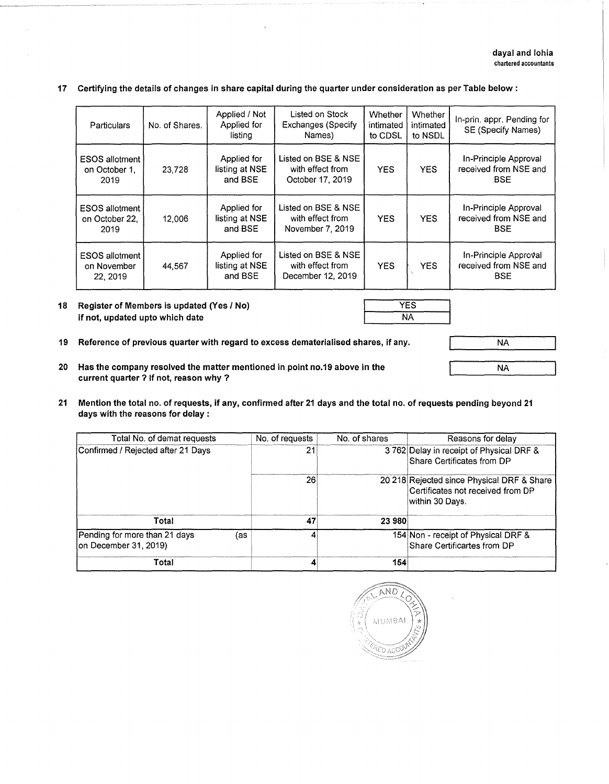NA

NA

#### **17 Certifying the details of changes in share capital during the quarter under consideration as per Table below:**

| Particulars                                      | No. of Shares. | Applied / Not<br>Applied for<br>listing  | Listed on Stock<br><b>Exchanges (Specify</b><br>Names)       | Whether<br>intimated<br>to CDSL | Whether<br>intimated<br>to NSDL | In-prin. appr. Pending for<br><b>SE (Specify Names)</b>      |
|--------------------------------------------------|----------------|------------------------------------------|--------------------------------------------------------------|---------------------------------|---------------------------------|--------------------------------------------------------------|
| <b>ESOS allotment</b><br>on October 1.<br>2019   | 23,728         | Applied for<br>listing at NSE<br>and BSE | Listed on BSE & NSE<br>with effect from<br>October 17, 2019  | <b>YES</b>                      | <b>YES</b>                      | In-Principle Approval<br>received from NSE and<br><b>BSE</b> |
| <b>ESOS allotment</b><br>on October 22.<br>2019  | 12,006         | Applied for<br>listing at NSE<br>and BSE | Listed on BSE & NSE<br>with effect from<br>November 7, 2019  | <b>YES</b>                      | <b>YES</b>                      | In-Principle Approval<br>received from NSE and<br><b>BSE</b> |
| <b>ESOS allotment</b><br>on November<br>22, 2019 | 44,567         | Applied for<br>listing at NSE<br>and BSE | Listed on BSE & NSE<br>with effect from<br>December 12, 2019 | <b>YES</b>                      | <b>YES</b>                      | In-Principle Approval<br>received from NSE and<br><b>BSE</b> |

#### **18 Register of Members is updated (Yes I No) if not, updated upto which date**

- **19 Reference of previous quarter with regard to excess dematerialised shares, if any.**
- **20 Has the company resolved the matter mentioned in point no.19 above in the current quarter ? If not, reason why** ?
- **21 Mention the total no. of requests, if any, confirmed after 21 days and the total no. of requests pending beyond 21 days with the reasons for delay** :

| Total No. of demat requests                                   | No. of requests | No. of shares | Reasons for delay                                                                                  |
|---------------------------------------------------------------|-----------------|---------------|----------------------------------------------------------------------------------------------------|
| Confirmed / Rejected after 21 Days                            | 21              |               | 3762 Delay in receipt of Physical DRF &<br>Share Certificates from DP                              |
|                                                               | 26              |               | 20 218 Rejected since Physical DRF & Share<br>Certificates not received from DP<br>within 30 Davs. |
| Total                                                         | 47              | 23 980        |                                                                                                    |
| Pending for more than 21 days<br>(as<br>on December 31, 2019) |                 |               | 154 Non - receipt of Physical DRF &<br>Share Certificartes from DP                                 |
| Total                                                         |                 | 154           |                                                                                                    |

 $AND$ **MUMBAI** PED ACCO

YES NA